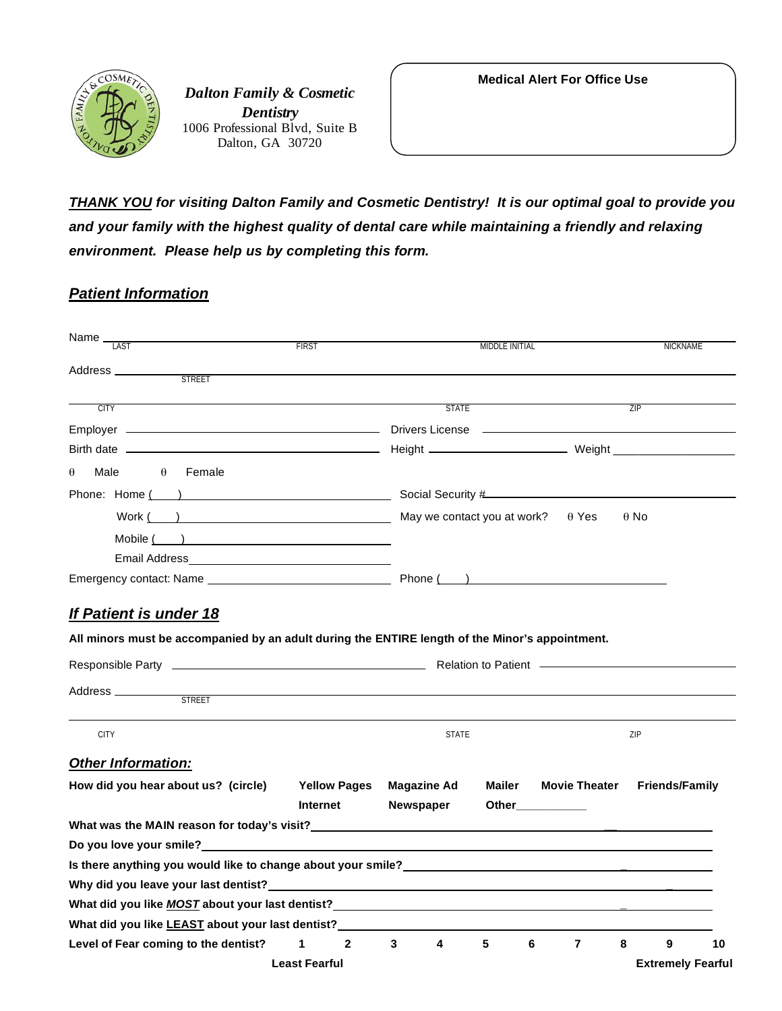

*Dalton Family & Cosmetic Dentistry*  1006 Professional Blvd, Suite B Dalton, GA 30720

**Medical Alert For Office Use** 

*THANK YOU for visiting Dalton Family and Cosmetic Dentistry! It is our optimal goal to provide you and your family with the highest quality of dental care while maintaining a friendly and relaxing environment. Please help us by completing this form.* 

## *Patient Information*

| Name $\frac{1}{\sqrt{145}}$                                                                        | <b>FIRST</b>         |                    | <b>MIDDLE INITIAL</b>  |   |                      |             | <b>NICKNAME</b>          |    |
|----------------------------------------------------------------------------------------------------|----------------------|--------------------|------------------------|---|----------------------|-------------|--------------------------|----|
|                                                                                                    |                      |                    |                        |   |                      |             |                          |    |
|                                                                                                    |                      |                    |                        |   |                      |             |                          |    |
| <b>CITY</b>                                                                                        |                      | <b>STATF</b>       |                        |   |                      | 7IP         |                          |    |
|                                                                                                    |                      |                    |                        |   |                      |             |                          |    |
|                                                                                                    |                      |                    |                        |   |                      |             |                          |    |
|                                                                                                    |                      |                    |                        |   |                      |             |                          |    |
| $\theta$<br>Female<br>Male<br>$\theta$                                                             |                      |                    |                        |   |                      |             |                          |    |
| Phone: Home ( ) Construction of the Social Security #                                              |                      |                    |                        |   |                      |             |                          |    |
| Work () Work () Now the May we contact you at work?                                                |                      |                    |                        |   | $\theta$ Yes         | $\theta$ No |                          |    |
|                                                                                                    |                      |                    |                        |   |                      |             |                          |    |
|                                                                                                    |                      |                    |                        |   |                      |             |                          |    |
|                                                                                                    |                      |                    |                        |   |                      |             |                          |    |
| Address _________<br><b>STRFFT</b>                                                                 |                      |                    |                        |   |                      |             |                          |    |
| <b>CITY</b>                                                                                        |                      | <b>STATE</b>       |                        |   |                      | ZIP         |                          |    |
| <b>Other Information:</b>                                                                          |                      |                    |                        |   |                      |             |                          |    |
| How did you hear about us? (circle)                                                                | <b>Yellow Pages</b>  | <b>Magazine Ad</b> | Mailer                 |   | <b>Movie Theater</b> |             | <b>Friends/Family</b>    |    |
|                                                                                                    | <b>Internet</b>      | Newspaper          | <b>Other Community</b> |   |                      |             |                          |    |
| What was the MAIN reason for today's visit? Manual Community of the MAIN reason for today's visit? |                      |                    |                        |   |                      |             |                          |    |
|                                                                                                    |                      |                    |                        |   |                      |             |                          |    |
|                                                                                                    |                      |                    |                        |   |                      |             |                          |    |
|                                                                                                    |                      |                    |                        |   |                      |             |                          |    |
|                                                                                                    |                      |                    |                        |   |                      |             |                          |    |
| What did you like LEAST about your last dentist?                                                   |                      |                    |                        |   |                      |             |                          |    |
| Level of Fear coming to the dentist?                                                               | 1<br>$\overline{2}$  | 3<br>4             | 5                      | 6 | 7                    | 8           | 9                        | 10 |
|                                                                                                    | <b>Least Fearful</b> |                    |                        |   |                      |             | <b>Extremely Fearful</b> |    |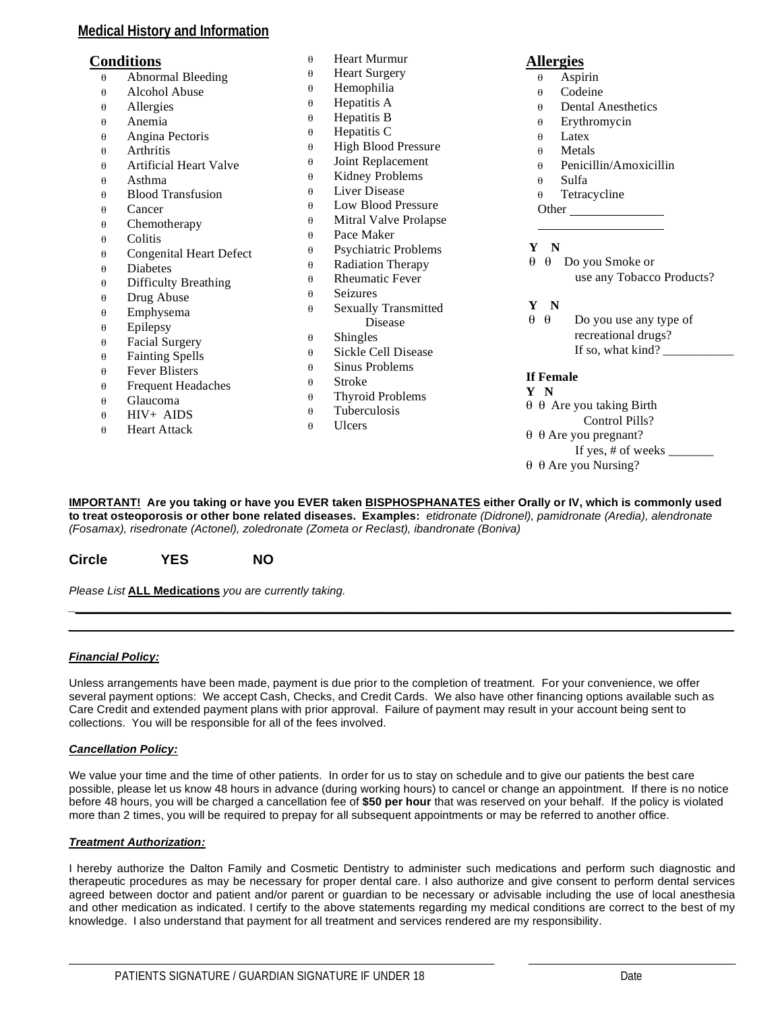## **Medical History and Information**

## **Conditions**

 $\theta$  Sexually Transmitted **Y N**  $\theta$  Do you use any type of recreational drugs? If so, what kind? \_\_\_\_\_\_\_\_\_\_\_  $\theta$  Heart Surgery  $\theta$  Hemophilia  $\theta$  Hepatitis A  $\theta$  Hepatitis B  $\theta$  Hepatitis C  $\theta$  High Blood Pressure Joint Replacement  $\theta$  Kidney Problems Liver Disease Low Blood Pressure Mitral Valve Prolapse  $\theta$  Pace Maker Psychiatric Problems Radiation Therapy Rheumatic Fever  $\theta$  Seizures Disease Shingles Sickle Cell Disease Sinus Problems  $\theta$  Stroke Thyroid Problems Tuberculosis e Ulcers Abnormal Bleeding Alcohol Abuse  $\theta$  Allergies Anemia Angina Pectoris  $\theta$  Arthritis Artificial Heart Valve Asthma Blood Transfusion  $\theta$  Cancer  $\theta$  Chemotherapy  $\theta$  Colitis Congenital Heart Defect Diabetes Difficulty Breathing  $\theta$  Drug Abuse  $\theta$  Emphysema  $\theta$  Epilepsy Facial Surgery Fainting Spells  $\theta$  Fever Blisters Frequent Headaches Glaucoma  $\theta$  HIV+ AIDS Heart Attack **Allergies**  $\theta$  Aspirin  $\theta$  Codeine Dental Anesthetics Erythromycin  $\theta$  Latex  $\theta$  Metals Penicillin/Amoxicillin Sulfa  $\theta$  Tetracycline Other l **If Female Y N**   $\theta$   $\theta$  Are you taking Birth Control Pills?  $\theta$   $\theta$  Are you pregnant? If yes,  $\#$  of weeks  $\theta$   $\theta$  Are you Nursing?  **Y N**   $\theta$   $\theta$  Do you Smoke or use any Tobacco Products?

 $\theta$  Heart Murmur

**IMPORTANT! Are you taking or have you EVER taken BISPHOSPHANATES either Orally or IV, which is commonly used to treat osteoporosis or other bone related diseases. Examples:** *etidronate (Didronel), pamidronate (Aredia), alendronate (Fosamax), risedronate (Actonel), zoledronate (Zometa or Reclast), ibandronate (Boniva)*

*\_\_\_\_\_\_\_\_\_\_\_\_\_\_\_\_\_\_\_\_\_\_\_\_\_\_\_\_\_\_\_\_\_\_\_\_\_\_\_\_\_\_\_\_\_\_\_\_\_\_\_\_\_\_\_\_\_\_\_\_\_\_\_\_\_\_\_\_\_\_\_\_\_\_\_\_\_\_ \_\_\_\_\_\_\_\_\_\_\_\_\_\_\_\_\_\_\_\_\_\_\_\_\_\_\_\_\_\_\_\_\_\_\_\_\_\_\_\_\_\_\_\_\_\_\_\_\_\_\_\_\_\_\_\_\_\_\_\_\_\_\_\_\_\_\_\_\_\_\_\_\_\_\_\_\_\_* 

**Circle YES NO** 

*Please List* **ALL Medications** *you are currently taking.* 

## *Financial Policy:*

Unless arrangements have been made, payment is due prior to the completion of treatment. For your convenience, we offer several payment options: We accept Cash, Checks, and Credit Cards. We also have other financing options available such as Care Credit and extended payment plans with prior approval. Failure of payment may result in your account being sent to collections. You will be responsible for all of the fees involved.

#### *Cancellation Policy:*

We value your time and the time of other patients. In order for us to stay on schedule and to give our patients the best care possible, please let us know 48 hours in advance (during working hours) to cancel or change an appointment. If there is no notice before 48 hours, you will be charged a cancellation fee of **\$50 per hour** that was reserved on your behalf. If the policy is violated more than 2 times, you will be required to prepay for all subsequent appointments or may be referred to another office.

#### *Treatment Authorization:*

I hereby authorize the Dalton Family and Cosmetic Dentistry to administer such medications and perform such diagnostic and therapeutic procedures as may be necessary for proper dental care. I also authorize and give consent to perform dental services agreed between doctor and patient and/or parent or guardian to be necessary or advisable including the use of local anesthesia and other medication as indicated. I certify to the above statements regarding my medical conditions are correct to the best of my knowledge. I also understand that payment for all treatment and services rendered are my responsibility.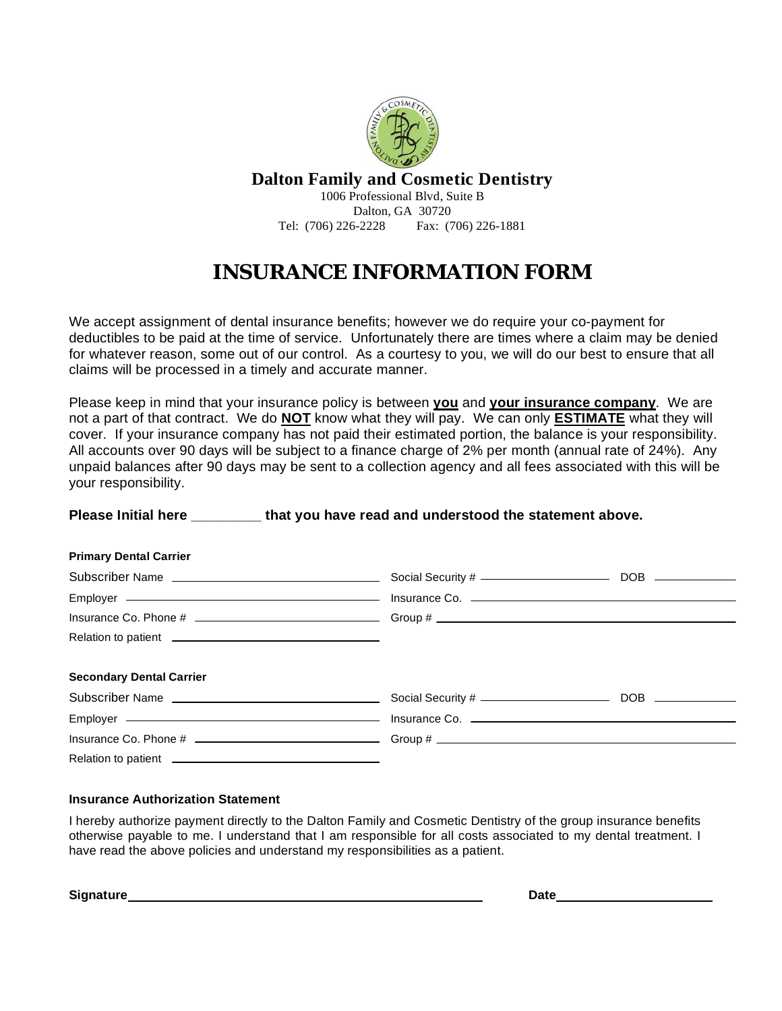

1006 Professional Blvd, Suite B Dalton, GA 30720 Tel: (706) 226-2228 Fax: (706) 226-1881

## *INSURANCE INFORMATION FORM*

We accept assignment of dental insurance benefits; however we do require your co-payment for deductibles to be paid at the time of service. Unfortunately there are times where a claim may be denied for whatever reason, some out of our control. As a courtesy to you, we will do our best to ensure that all claims will be processed in a timely and accurate manner.

Please keep in mind that your insurance policy is between **you** and **your insurance company**. We are not a part of that contract. We do **NOT** know what they will pay. We can only **ESTIMATE** what they will cover. If your insurance company has not paid their estimated portion, the balance is your responsibility. All accounts over 90 days will be subject to a finance charge of 2% per month (annual rate of 24%). Any unpaid balances after 90 days may be sent to a collection agency and all fees associated with this will be your responsibility.

**Please Initial here \_\_\_\_\_\_\_\_\_ that you have read and understood the statement above.** 

## **Primary Dental Carrier**

| <b>Secondary Dental Carrier</b> |  |
|---------------------------------|--|
|                                 |  |
|                                 |  |
|                                 |  |
|                                 |  |

## **Insurance Authorization Statement**

I hereby authorize payment directly to the Dalton Family and Cosmetic Dentistry of the group insurance benefits otherwise payable to me. I understand that I am responsible for all costs associated to my dental treatment. I have read the above policies and understand my responsibilities as a patient.

**Signature Date**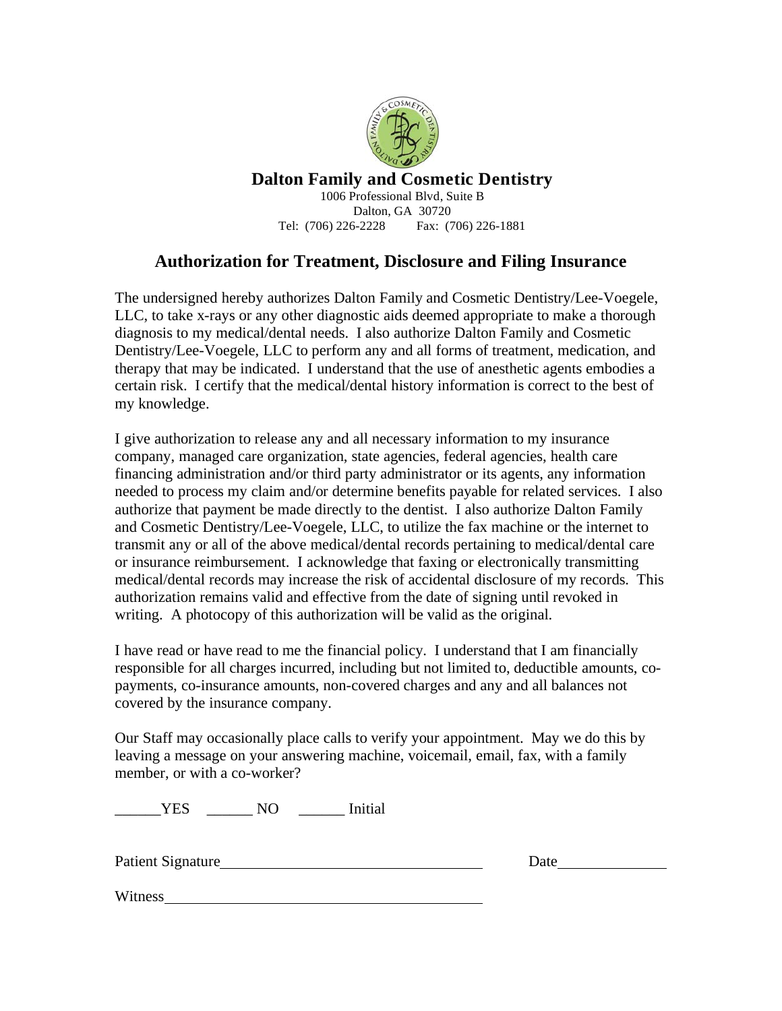

1006 Professional Blvd, Suite B Dalton, GA 30720 Tel: (706) 226-2228 Fax: (706) 226-1881

## **Authorization for Treatment, Disclosure and Filing Insurance**

The undersigned hereby authorizes Dalton Family and Cosmetic Dentistry/Lee-Voegele, LLC, to take x-rays or any other diagnostic aids deemed appropriate to make a thorough diagnosis to my medical/dental needs. I also authorize Dalton Family and Cosmetic Dentistry/Lee-Voegele, LLC to perform any and all forms of treatment, medication, and therapy that may be indicated. I understand that the use of anesthetic agents embodies a certain risk. I certify that the medical/dental history information is correct to the best of my knowledge.

I give authorization to release any and all necessary information to my insurance company, managed care organization, state agencies, federal agencies, health care financing administration and/or third party administrator or its agents, any information needed to process my claim and/or determine benefits payable for related services. I also authorize that payment be made directly to the dentist. I also authorize Dalton Family and Cosmetic Dentistry/Lee-Voegele, LLC, to utilize the fax machine or the internet to transmit any or all of the above medical/dental records pertaining to medical/dental care or insurance reimbursement. I acknowledge that faxing or electronically transmitting medical/dental records may increase the risk of accidental disclosure of my records. This authorization remains valid and effective from the date of signing until revoked in writing. A photocopy of this authorization will be valid as the original.

I have read or have read to me the financial policy. I understand that I am financially responsible for all charges incurred, including but not limited to, deductible amounts, copayments, co-insurance amounts, non-covered charges and any and all balances not covered by the insurance company.

Our Staff may occasionally place calls to verify your appointment. May we do this by leaving a message on your answering machine, voicemail, email, fax, with a family member, or with a co-worker?

YES NO Initial

Patient Signature

| Date |
|------|
|------|

Witness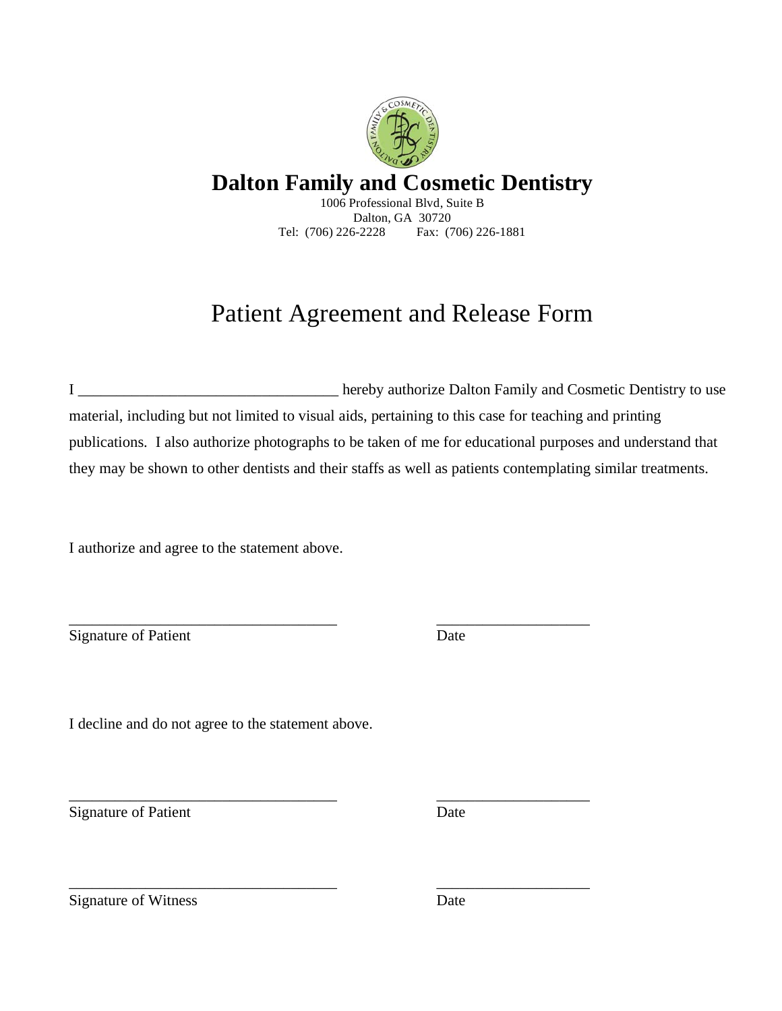

1006 Professional Blvd, Suite B Dalton, GA 30720 Tel: (706) 226-2228 Fax: (706) 226-1881

# Patient Agreement and Release Form

I \_\_\_\_\_\_\_\_\_\_\_\_\_\_\_\_\_\_\_\_\_\_\_\_\_\_\_\_\_\_\_\_\_\_ hereby authorize Dalton Family and Cosmetic Dentistry to use material, including but not limited to visual aids, pertaining to this case for teaching and printing publications. I also authorize photographs to be taken of me for educational purposes and understand that they may be shown to other dentists and their staffs as well as patients contemplating similar treatments.

\_\_\_\_\_\_\_\_\_\_\_\_\_\_\_\_\_\_\_\_\_\_\_\_\_\_\_\_\_\_\_\_\_\_\_ \_\_\_\_\_\_\_\_\_\_\_\_\_\_\_\_\_\_\_\_

\_\_\_\_\_\_\_\_\_\_\_\_\_\_\_\_\_\_\_\_\_\_\_\_\_\_\_\_\_\_\_\_\_\_\_ \_\_\_\_\_\_\_\_\_\_\_\_\_\_\_\_\_\_\_\_

\_\_\_\_\_\_\_\_\_\_\_\_\_\_\_\_\_\_\_\_\_\_\_\_\_\_\_\_\_\_\_\_\_\_\_ \_\_\_\_\_\_\_\_\_\_\_\_\_\_\_\_\_\_\_\_

I authorize and agree to the statement above.

Signature of Patient Date

I decline and do not agree to the statement above.

Signature of Patient Date

Signature of Witness Date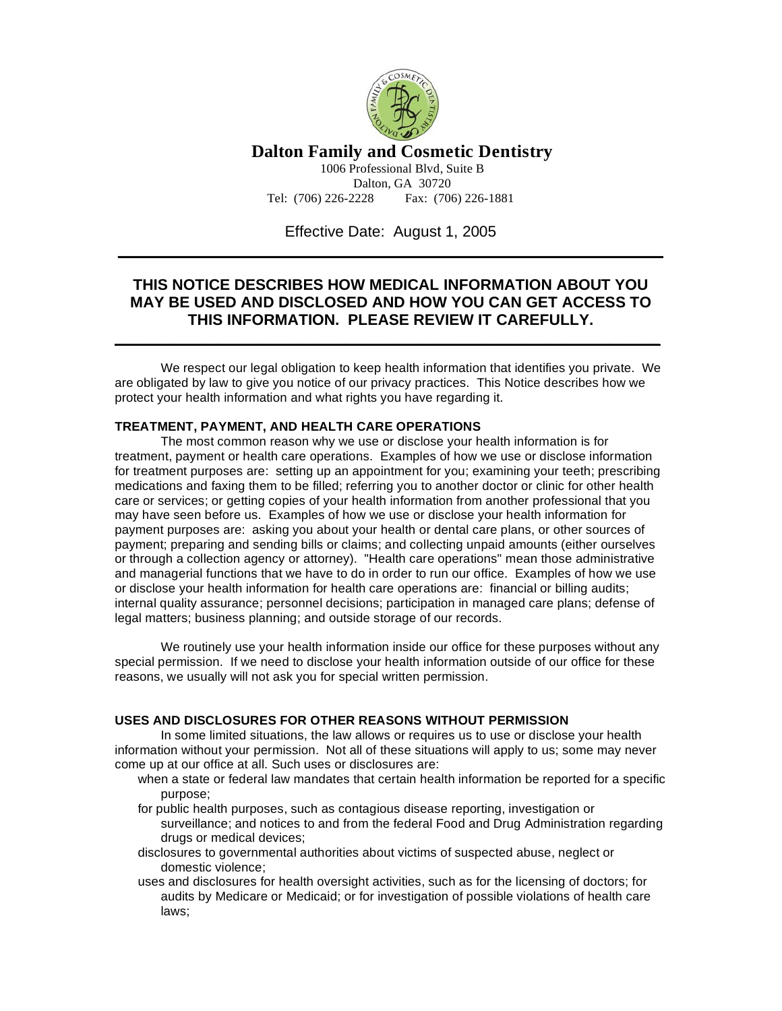

1006 Professional Blvd, Suite B Dalton, GA 30720 Tel: (706) 226-2228 Fax: (706) 226-1881

## Effective Date: August 1, 2005 **\_\_\_\_\_\_\_\_\_\_\_\_\_\_\_\_\_\_\_\_\_\_\_\_\_\_\_\_\_\_\_\_\_\_\_\_\_\_\_\_\_\_\_\_\_\_\_\_\_\_\_\_\_\_\_\_\_\_\_\_\_\_\_\_**

## **THIS NOTICE DESCRIBES HOW MEDICAL INFORMATION ABOUT YOU MAY BE USED AND DISCLOSED AND HOW YOU CAN GET ACCESS TO THIS INFORMATION. PLEASE REVIEW IT CAREFULLY.**

We respect our legal obligation to keep health information that identifies you private. We are obligated by law to give you notice of our privacy practices. This Notice describes how we protect your health information and what rights you have regarding it.

**\_\_\_\_\_\_\_\_\_\_\_\_\_\_\_\_\_\_\_\_\_\_\_\_\_\_\_\_\_\_\_\_\_\_\_\_\_\_\_\_\_\_\_\_\_\_\_\_\_\_\_\_\_\_\_\_\_\_\_\_\_\_\_\_**

## **TREATMENT, PAYMENT, AND HEALTH CARE OPERATIONS**

The most common reason why we use or disclose your health information is for treatment, payment or health care operations. Examples of how we use or disclose information for treatment purposes are: setting up an appointment for you; examining your teeth; prescribing medications and faxing them to be filled; referring you to another doctor or clinic for other health care or services; or getting copies of your health information from another professional that you may have seen before us. Examples of how we use or disclose your health information for payment purposes are: asking you about your health or dental care plans, or other sources of payment; preparing and sending bills or claims; and collecting unpaid amounts (either ourselves or through a collection agency or attorney). "Health care operations" mean those administrative and managerial functions that we have to do in order to run our office. Examples of how we use or disclose your health information for health care operations are: financial or billing audits; internal quality assurance; personnel decisions; participation in managed care plans; defense of legal matters; business planning; and outside storage of our records.

We routinely use your health information inside our office for these purposes without any special permission. If we need to disclose your health information outside of our office for these reasons, we usually will not ask you for special written permission.

## **USES AND DISCLOSURES FOR OTHER REASONS WITHOUT PERMISSION**

 In some limited situations, the law allows or requires us to use or disclose your health information without your permission. Not all of these situations will apply to us; some may never come up at our office at all. Such uses or disclosures are:

- when a state or federal law mandates that certain health information be reported for a specific purpose;
- for public health purposes, such as contagious disease reporting, investigation or surveillance; and notices to and from the federal Food and Drug Administration regarding drugs or medical devices;
- disclosures to governmental authorities about victims of suspected abuse, neglect or domestic violence;
- uses and disclosures for health oversight activities, such as for the licensing of doctors; for audits by Medicare or Medicaid; or for investigation of possible violations of health care laws;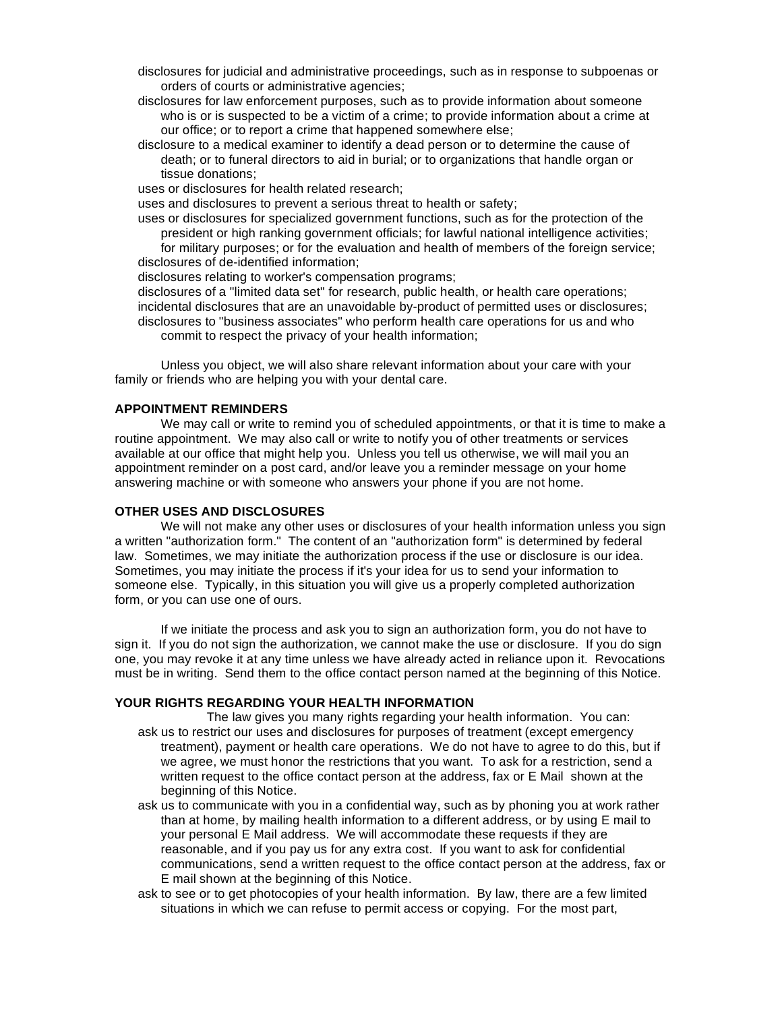- disclosures for judicial and administrative proceedings, such as in response to subpoenas or orders of courts or administrative agencies;
- disclosures for law enforcement purposes, such as to provide information about someone who is or is suspected to be a victim of a crime; to provide information about a crime at our office; or to report a crime that happened somewhere else;
- disclosure to a medical examiner to identify a dead person or to determine the cause of death; or to funeral directors to aid in burial; or to organizations that handle organ or tissue donations;

uses or disclosures for health related research;

uses and disclosures to prevent a serious threat to health or safety;

uses or disclosures for specialized government functions, such as for the protection of the president or high ranking government officials; for lawful national intelligence activities; for military purposes; or for the evaluation and health of members of the foreign service; disclosures of de-identified information;

disclosures relating to worker's compensation programs;

disclosures of a "limited data set" for research, public health, or health care operations; incidental disclosures that are an unavoidable by-product of permitted uses or disclosures; disclosures to "business associates" who perform health care operations for us and who commit to respect the privacy of your health information;

 Unless you object, we will also share relevant information about your care with your family or friends who are helping you with your dental care.

#### **APPOINTMENT REMINDERS**

 We may call or write to remind you of scheduled appointments, or that it is time to make a routine appointment. We may also call or write to notify you of other treatments or services available at our office that might help you. Unless you tell us otherwise, we will mail you an appointment reminder on a post card, and/or leave you a reminder message on your home answering machine or with someone who answers your phone if you are not home.

#### **OTHER USES AND DISCLOSURES**

We will not make any other uses or disclosures of your health information unless you sign a written "authorization form." The content of an "authorization form" is determined by federal law. Sometimes, we may initiate the authorization process if the use or disclosure is our idea. Sometimes, you may initiate the process if it's your idea for us to send your information to someone else. Typically, in this situation you will give us a properly completed authorization form, or you can use one of ours.

If we initiate the process and ask you to sign an authorization form, you do not have to sign it. If you do not sign the authorization, we cannot make the use or disclosure. If you do sign one, you may revoke it at any time unless we have already acted in reliance upon it. Revocations must be in writing. Send them to the office contact person named at the beginning of this Notice.

#### **YOUR RIGHTS REGARDING YOUR HEALTH INFORMATION**

- The law gives you many rights regarding your health information. You can: ask us to restrict our uses and disclosures for purposes of treatment (except emergency treatment), payment or health care operations. We do not have to agree to do this, but if we agree, we must honor the restrictions that you want. To ask for a restriction, send a written request to the office contact person at the address, fax or E Mail shown at the beginning of this Notice.
- ask us to communicate with you in a confidential way, such as by phoning you at work rather than at home, by mailing health information to a different address, or by using E mail to your personal E Mail address. We will accommodate these requests if they are reasonable, and if you pay us for any extra cost. If you want to ask for confidential communications, send a written request to the office contact person at the address, fax or E mail shown at the beginning of this Notice.
- ask to see or to get photocopies of your health information. By law, there are a few limited situations in which we can refuse to permit access or copying. For the most part,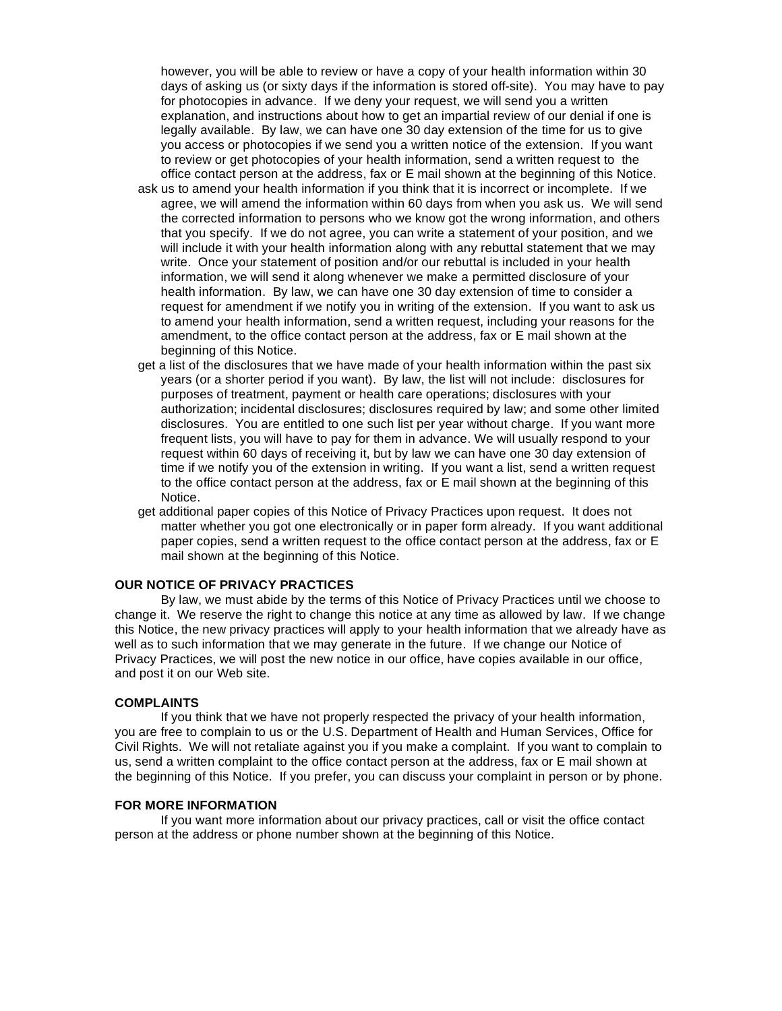however, you will be able to review or have a copy of your health information within 30 days of asking us (or sixty days if the information is stored off-site). You may have to pay for photocopies in advance. If we deny your request, we will send you a written explanation, and instructions about how to get an impartial review of our denial if one is legally available. By law, we can have one 30 day extension of the time for us to give you access or photocopies if we send you a written notice of the extension. If you want to review or get photocopies of your health information, send a written request to the office contact person at the address, fax or E mail shown at the beginning of this Notice.

- ask us to amend your health information if you think that it is incorrect or incomplete. If we agree, we will amend the information within 60 days from when you ask us. We will send the corrected information to persons who we know got the wrong information, and others that you specify. If we do not agree, you can write a statement of your position, and we will include it with your health information along with any rebuttal statement that we may write. Once your statement of position and/or our rebuttal is included in your health information, we will send it along whenever we make a permitted disclosure of your health information. By law, we can have one 30 day extension of time to consider a request for amendment if we notify you in writing of the extension. If you want to ask us to amend your health information, send a written request, including your reasons for the amendment, to the office contact person at the address, fax or E mail shown at the beginning of this Notice.
- get a list of the disclosures that we have made of your health information within the past six years (or a shorter period if you want). By law, the list will not include: disclosures for purposes of treatment, payment or health care operations; disclosures with your authorization; incidental disclosures; disclosures required by law; and some other limited disclosures. You are entitled to one such list per year without charge. If you want more frequent lists, you will have to pay for them in advance. We will usually respond to your request within 60 days of receiving it, but by law we can have one 30 day extension of time if we notify you of the extension in writing. If you want a list, send a written request to the office contact person at the address, fax or E mail shown at the beginning of this Notice.
- get additional paper copies of this Notice of Privacy Practices upon request. It does not matter whether you got one electronically or in paper form already. If you want additional paper copies, send a written request to the office contact person at the address, fax or E mail shown at the beginning of this Notice.

#### **OUR NOTICE OF PRIVACY PRACTICES**

By law, we must abide by the terms of this Notice of Privacy Practices until we choose to change it. We reserve the right to change this notice at any time as allowed by law. If we change this Notice, the new privacy practices will apply to your health information that we already have as well as to such information that we may generate in the future. If we change our Notice of Privacy Practices, we will post the new notice in our office, have copies available in our office, and post it on our Web site.

#### **COMPLAINTS**

 If you think that we have not properly respected the privacy of your health information, you are free to complain to us or the U.S. Department of Health and Human Services, Office for Civil Rights. We will not retaliate against you if you make a complaint. If you want to complain to us, send a written complaint to the office contact person at the address, fax or E mail shown at the beginning of this Notice. If you prefer, you can discuss your complaint in person or by phone.

#### **FOR MORE INFORMATION**

If you want more information about our privacy practices, call or visit the office contact person at the address or phone number shown at the beginning of this Notice.